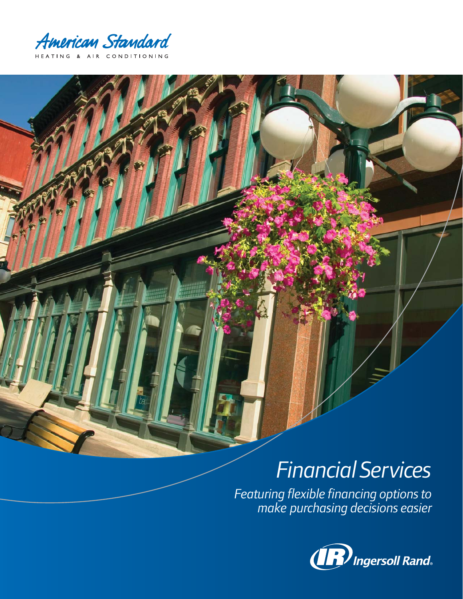American Standard HEATING & AIR CONDITIONING

# *FinancialServices*

*Featuring flexible financing options to make purchasing decisions easier*

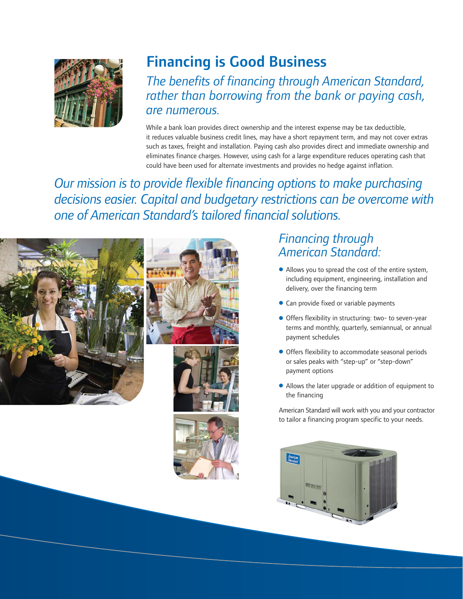

# Financing is Good Business

*The benefits of financing through American Standard, rather than borrowing from the bank or paying cash, are numerous.*

While a bank loan provides direct ownership and the interest expense may be tax deductible, it reduces valuable business credit lines, may have a short repayment term, and may not cover extras such as taxes, freight and installation. Paying cash also provides direct and immediate ownership and eliminates finance charges. However, using cash for a large expenditure reduces operating cash that could have been used for alternate investments and provides no hedge against inflation.

*Our mission is to provide flexible financing options to make purchasing decisions easier. Capital and budgetary restrictions can be overcome with one of American Standard's tailored financial solutions.*







### *Financing through American Standard:*

- Allows you to spread the cost of the entire system, including equipment, engineering, installation and delivery, over the financing term
- Can provide fixed or variable payments
- Offers flexibility in structuring: two- to seven-year terms and monthly, quarterly, semiannual, or annual payment schedules
- Offers flexibility to accommodate seasonal periods or sales peaks with "step-up" or "step-down" payment options
- Allows the later upgrade or addition of equipment to the financing

American Standard will work with you and your contractor to tailor a financing program specific to your needs.

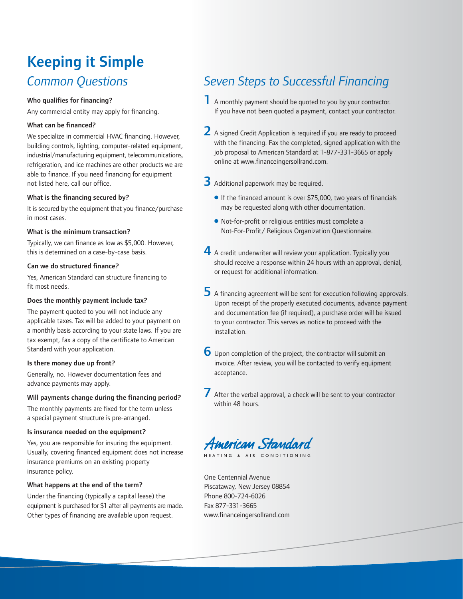## *Common Questions* Keeping it Simple

#### Who qualifies for financing?

Any commercial entity may apply for financing.

#### What can be financed?

We specialize in commercial HVAC financing. However, building controls, lighting, computer-related equipment, industrial/manufacturing equipment, telecommunications, refrigeration, and ice machines are other products we are able to finance. If you need financing for equipment not listed here, call our office.

#### What is the financing secured by?

It is secured by the equipment that you finance/purchase in most cases.

#### What is the minimum transaction?

Typically, we can finance as low as \$5,000. However, this is determined on a case-by-case basis.

#### Can we do structured finance?

Yes, American Standard can structure financing to fit most needs.

#### Does the monthly payment include tax?

The payment quoted to you will not include any applicable taxes. Tax will be added to your payment on a monthly basis according to your state laws. If you are tax exempt, fax a copy of the certificate to American Standard with your application.

#### Is there money due up front?

Generally, no. However documentation fees and advance payments may apply.

#### Will payments change during the financing period?

The monthly payments are fixed for the term unless a special payment structure is pre-arranged.

#### Is insurance needed on the equipment?

Yes, you are responsible for insuring the equipment. Usually, covering financed equipment does not increase insurance premiums on an existing property insurance policy.

#### What happens at the end of the term?

Under the financing (typically a capital lease) the equipment is purchased for \$1 after all payments are made. Other types of financing are available upon request.

### *Seven Steps to Successful Financing*

- <sup>1</sup> A monthly payment should be quoted to you by your contractor. If you have not been quoted a payment, contact your contractor.
- 2 A signed Credit Application is required if you are ready to proceed with the financing. Fax the completed, signed application with the job proposal to American Standard at 1-877-331-3665 or apply online at www.financeingersollrand.com.
- 3 Additional paperwork may be required.
	- If the financed amount is over \$75,000, two years of financials may be requested along with other documentation.
	- Not-for-profit or religious entities must complete a Not-For-Profit/ Religious Organization Questionnaire.
- 4 A credit underwriter will review your application. Typically you should receive a response within 24 hours with an approval, denial, or request for additional information.
- $\overline{\mathbf{5}}$  A financing agreement will be sent for execution following approvals. Upon receipt of the properly executed documents, advance payment and documentation fee (if required), a purchase order will be issued to your contractor. This serves as notice to proceed with the installation.
- 6 Upon completion of the project, the contractor will submit an invoice. After review, you will be contacted to verify equipment acceptance.
- After the verbal approval, a check will be sent to your contractor within 48 hours.

American Standard

HEATING & AIR CONDITIONING

One Centennial Avenue Piscataway, New Jersey 08854 Phone 800-724-6026 Fax 877-331-3665 www.financeingersollrand.com